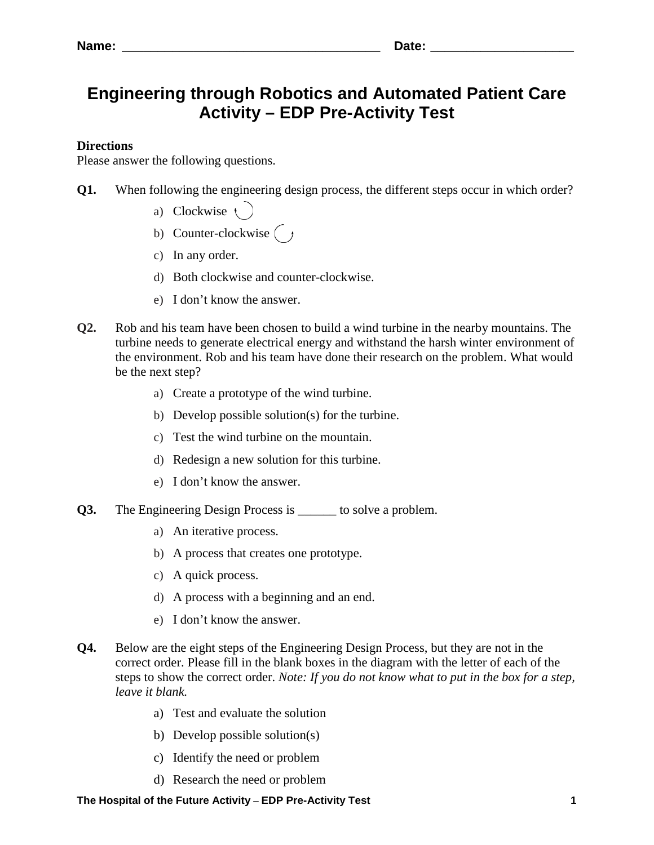## **Engineering through Robotics and Automated Patient Care Activity – EDP Pre-Activity Test**

## **Directions**

Please answer the following questions.

- **Q1.** When following the engineering design process, the different steps occur in which order?
	- a) Clockwise (
	- b) Counter-clockwise  $\begin{bmatrix} \end{bmatrix}$
	- c) In any order.
	- d) Both clockwise and counter-clockwise.
	- e) I don't know the answer.
- **Q2.** Rob and his team have been chosen to build a wind turbine in the nearby mountains. The turbine needs to generate electrical energy and withstand the harsh winter environment of the environment. Rob and his team have done their research on the problem. What would be the next step?
	- a) Create a prototype of the wind turbine.
	- b) Develop possible solution(s) for the turbine.
	- c) Test the wind turbine on the mountain.
	- d) Redesign a new solution for this turbine.
	- e) I don't know the answer.
- **Q3.** The Engineering Design Process is \_\_\_\_\_\_ to solve a problem.
	- a) An iterative process.
	- b) A process that creates one prototype.
	- c) A quick process.
	- d) A process with a beginning and an end.
	- e) I don't know the answer.
- **Q4.** Below are the eight steps of the Engineering Design Process, but they are not in the correct order. Please fill in the blank boxes in the diagram with the letter of each of the steps to show the correct order. *Note: If you do not know what to put in the box for a step, leave it blank.*
	- a) Test and evaluate the solution
	- b) Develop possible solution(s)
	- c) Identify the need or problem
	- d) Research the need or problem

**The Hospital of the Future Activity** – **EDP Pre-Activity Test 1**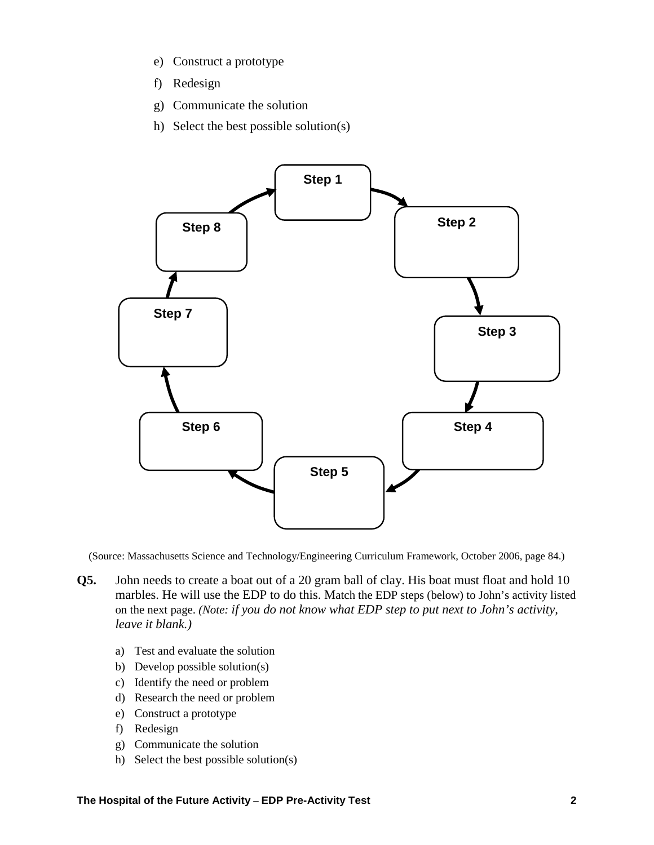- e) Construct a prototype
- f) Redesign
- g) Communicate the solution
- h) Select the best possible solution(s)



(Source: Massachusetts Science and Technology/Engineering Curriculum Framework, October 2006, page 84.)

- **Q5.** John needs to create a boat out of a 20 gram ball of clay. His boat must float and hold 10 marbles. He will use the EDP to do this. Match the EDP steps (below) to John's activity listed on the next page. *(Note: if you do not know what EDP step to put next to John's activity, leave it blank.)* 
	- a) Test and evaluate the solution
	- b) Develop possible solution(s)
	- c) Identify the need or problem
	- d) Research the need or problem
	- e) Construct a prototype
	- f) Redesign
	- g) Communicate the solution
	- h) Select the best possible solution(s)